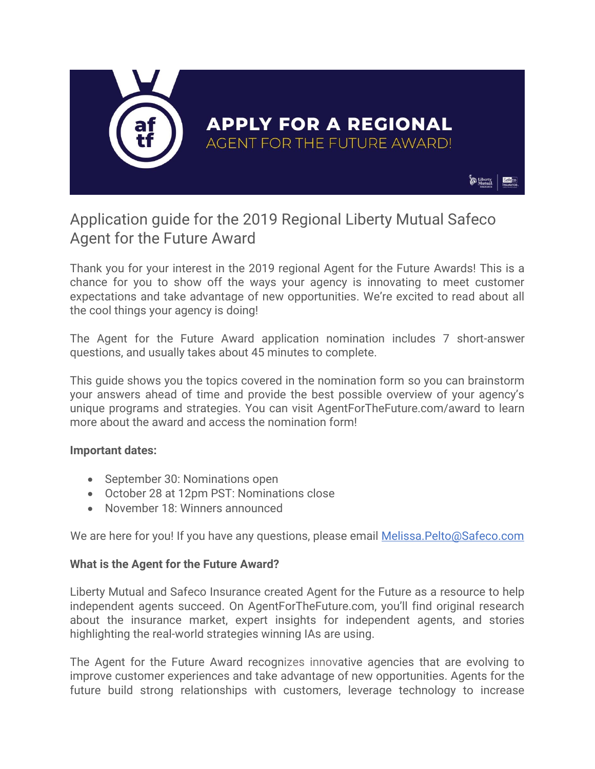

# Application guide for the 2019 Regional Liberty Mutual Safeco Agent for the Future Award

Thank you for your interest in the 2019 regional Agent for the Future Awards! This is a chance for you to show off the ways your agency is innovating to meet customer expectations and take advantage of new opportunities. We're excited to read about all the cool things your agency is doing!

The Agent for the Future Award application nomination includes 7 short-answer questions, and usually takes about 45 minutes to complete.

This guide shows you the topics covered in the nomination form so you can brainstorm your answers ahead of time and provide the best possible overview of your agency's unique programs and strategies. You can visit AgentForTheFuture.com/award to learn more about the award and access the nomination form!

#### **Important dates:**

- September 30: Nominations open
- October 28 at 12pm PST: Nominations close
- November 18: Winners announced

We are here for you! If you have any questions, please email [Melissa.Pelto@Safeco.com](mailto:Melissa.Pelto@Safeco.com)

#### **What is the Agent for the Future Award?**

Liberty Mutual and Safeco Insurance created Agent for the Future as a resource to help independent agents succeed. On AgentForTheFuture.com, you'll find original research about the insurance market, expert insights for independent agents, and stories highlighting the real-world strategies winning IAs are using.

The Agent for the Future Award recognizes innovative agencies that are evolving to improve customer experiences and take advantage of new opportunities. Agents for the future build strong relationships with customers, leverage technology to increase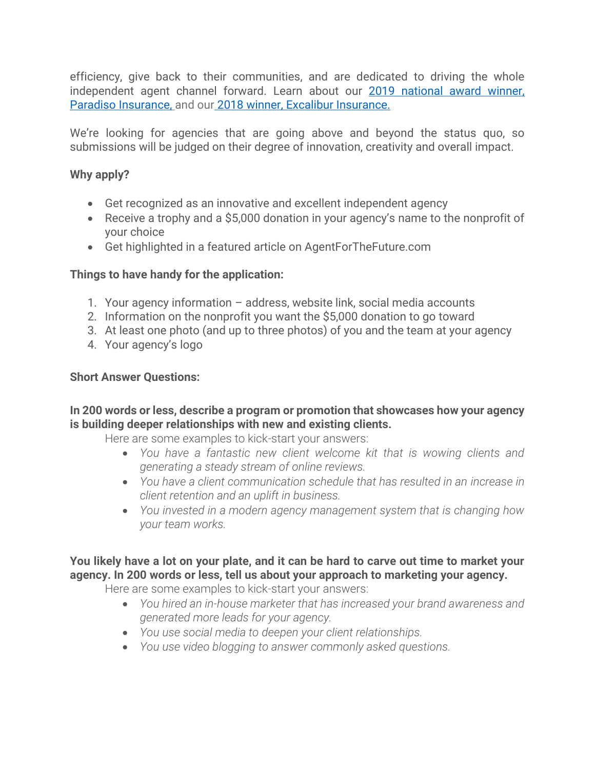efficiency, give back to their communities, and are dedicated to driving the whole independent agent channel forward. Learn about our [2019 national award winner,](https://www.agentforthefuture.com/2019-aftf-award-winner/)  [Paradiso Insurance,](https://www.agentforthefuture.com/2019-aftf-award-winner/) and our [2018 winner, Excalibur Insurance.](https://www.agentforthefuture.com/excalibur-insurance-group-pushes-innovation/)

We're looking for agencies that are going above and beyond the status quo, so submissions will be judged on their degree of innovation, creativity and overall impact.

#### **Why apply?**

- Get recognized as an innovative and excellent independent agency
- Receive a trophy and a \$5,000 donation in your agency's name to the nonprofit of your choice
- Get highlighted in a featured article on AgentForTheFuture.com

### **Things to have handy for the application:**

- 1. Your agency information address, website link, social media accounts
- 2. Information on the nonprofit you want the \$5,000 donation to go toward
- 3. At least one photo (and up to three photos) of you and the team at your agency
- 4. Your agency's logo

#### **Short Answer Questions:**

#### **In 200 words or less, describe a program or promotion that showcases how your agency is building deeper relationships with new and existing clients.**

Here are some examples to kick-start your answers:

- *You have a fantastic new client welcome kit that is wowing clients and generating a steady stream of online reviews.*
- *You have a client communication schedule that has resulted in an increase in client retention and an uplift in business.*
- *You invested in a modern agency management system that is changing how your team works.*

# **You likely have a lot on your plate, and it can be hard to carve out time to market your agency. In 200 words or less, tell us about your approach to marketing your agency.**

Here are some examples to kick-start your answers:

- *You hired an in-house marketer that has increased your brand awareness and generated more leads for your agency.*
- *You use social media to deepen your client relationships.*
- *You use video blogging to answer commonly asked questions.*